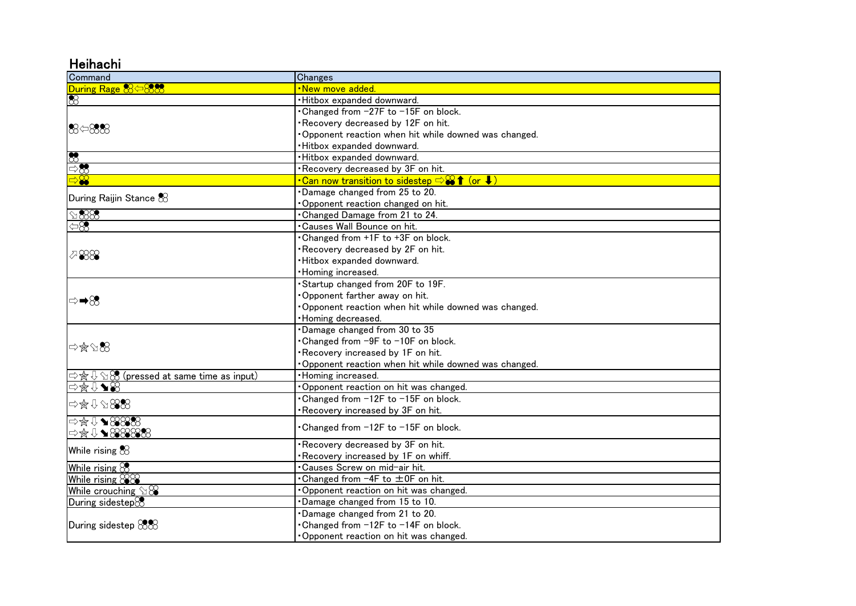## **Heihachi**

| Command                                                                                                                 | Changes                                                                      |
|-------------------------------------------------------------------------------------------------------------------------|------------------------------------------------------------------------------|
| During Rage 85588                                                                                                       | New move added                                                               |
| $\otimes$                                                                                                               | ·Hitbox expanded downward.                                                   |
|                                                                                                                         | • Changed from -27F to -15F on block.                                        |
| 88⇔88                                                                                                                   | Recovery decreased by 12F on hit.                                            |
|                                                                                                                         | Opponent reaction when hit while downed was changed.                         |
|                                                                                                                         | ·Hitbox expanded downward.                                                   |
| $\overline{\mathcal{E}}$                                                                                                | ·Hitbox expanded downward.                                                   |
| $\Rightarrow \infty$                                                                                                    | . Recovery decreased by 3F on hit.                                           |
| $\Rightarrow \mathbb{S}$                                                                                                | •Can now transition to sidestep $\Rightarrow$ $\rightarrow \bullet$ ↑ (or ↓) |
| During Raijin Stance $\%$                                                                                               | Damage changed from 25 to 20.                                                |
|                                                                                                                         | Opponent reaction changed on hit.                                            |
| $\Omega$ 888                                                                                                            | . Changed Damage from 21 to 24.                                              |
| $\Leftrightarrow$                                                                                                       | • Causes Wall Bounce on hit.                                                 |
| 788                                                                                                                     | . Changed from +1F to +3F on block.                                          |
|                                                                                                                         | Recovery decreased by 2F on hit.                                             |
|                                                                                                                         | ·Hitbox expanded downward.                                                   |
|                                                                                                                         | · Homing increased.                                                          |
| ⇨➡8                                                                                                                     | Startup changed from 20F to 19F.                                             |
|                                                                                                                         | Opponent farther away on hit.                                                |
|                                                                                                                         | Opponent reaction when hit while downed was changed.                         |
|                                                                                                                         | · Homing decreased.                                                          |
| ⇨☆∅ \$8                                                                                                                 | Damage changed from 30 to 35                                                 |
|                                                                                                                         | •Changed from -9F to -10F on block.                                          |
|                                                                                                                         | Recovery increased by 1F on hit.                                             |
|                                                                                                                         | Opponent reaction when hit while downed was changed.                         |
| $\Rightarrow$ $\forall$ $\cup$ $\Diamond$ $\Diamond$ (pressed at same time as input)                                    | · Homing increased.                                                          |
| $\mathbb{R}$ $\mathbb{R}$ $\mathbb{R}$                                                                                  | Opponent reaction on hit was changed.                                        |
| →第1の888                                                                                                                 | •Changed from -12F to -15F on block.                                         |
|                                                                                                                         | Recovery increased by 3F on hit.                                             |
| $\Rightarrow$ $\frac{1}{2}$ $\blacktriangleright$ $\frac{1}{2}$ $\frac{1}{2}$ $\frac{1}{2}$ $\frac{1}{2}$ $\frac{1}{2}$ | . Changed from -12F to -15F on block.                                        |
| ⇨☆↓◆88888                                                                                                               |                                                                              |
| While rising $\&$                                                                                                       | Recovery decreased by 3F on hit.                                             |
|                                                                                                                         | Recovery increased by 1F on whiff.                                           |
| While rising $\mathcal{\mathcal{B}}$                                                                                    | •Causes Screw on mid-air hit.                                                |
| While rising &                                                                                                          | . Changed from -4F to ±0F on hit.                                            |
| While crouching $\Im$                                                                                                   | Opponent reaction on hit was changed.                                        |
| During sidestep <sup>8</sup>                                                                                            | .Damage changed from 15 to 10.                                               |
| During sidestep $888$                                                                                                   | Damage changed from 21 to 20.                                                |
|                                                                                                                         | Changed from -12F to -14F on block.                                          |
|                                                                                                                         | Opponent reaction on hit was changed.                                        |